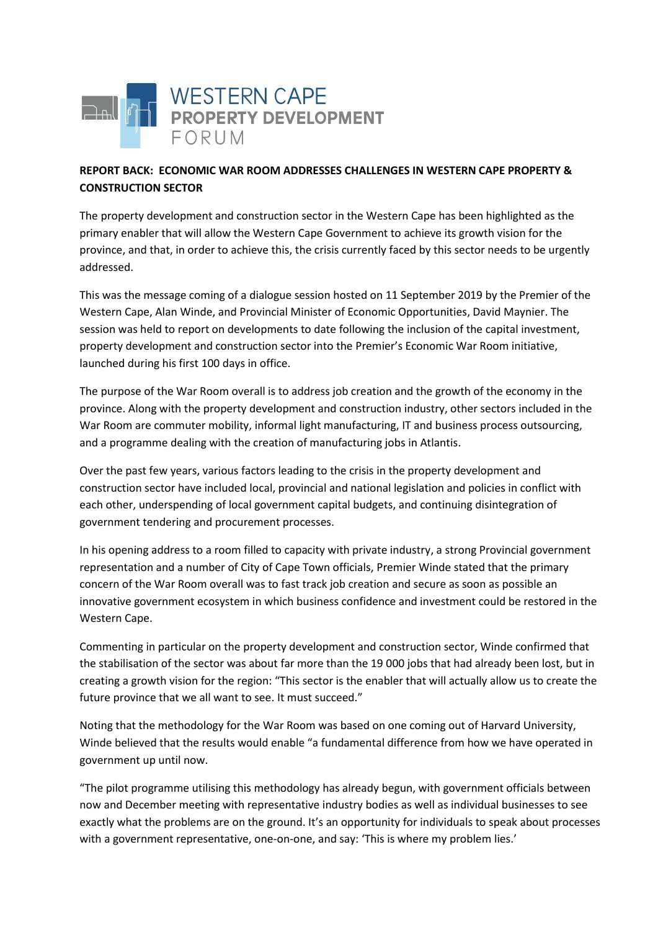

## **REPORT BACK: ECONOMIC WAR ROOM ADDRESSES CHALLENGES IN WESTERN CAPE PROPERTY & CONSTRUCTION SECTOR**

The property development and construction sector in the Western Cape has been highlighted as the primary enabler that will allow the Western Cape Government to achieve its growth vision for the province, and that, in order to achieve this, the crisis currently faced by this sector needs to be urgently addressed.

This was the message coming of a dialogue session hosted on 11 September 2019 by the Premier of the Western Cape, Alan Winde, and Provincial Minister of Economic Opportunities, David Maynier. The session was held to report on developments to date following the inclusion of the capital investment, property development and construction sector into the Premier's Economic War Room initiative, launched during his first 100 days in office.

The purpose of the War Room overall is to address job creation and the growth of the economy in the province. Along with the property development and construction industry, other sectors included in the War Room are commuter mobility, informal light manufacturing, IT and business process outsourcing, and a programme dealing with the creation of manufacturing jobs in Atlantis.

Over the past few years, various factors leading to the crisis in the property development and construction sector have included local, provincial and national legislation and policies in conflict with each other, underspending of local government capital budgets, and continuing disintegration of government tendering and procurement processes.

In his opening address to a room filled to capacity with private industry, a strong Provincial government representation and a number of City of Cape Town officials, Premier Winde stated that the primary concern of the War Room overall was to fast track job creation and secure as soon as possible an innovative government ecosystem in which business confidence and investment could be restored in the Western Cape.

Commenting in particular on the property development and construction sector, Winde confirmed that the stabilisation of the sector was about far more than the 19 000 jobs that had already been lost, but in creating a growth vision for the region: "This sector is the enabler that will actually allow us to create the future province that we all want to see. It must succeed."

Noting that the methodology for the War Room was based on one coming out of Harvard University, Winde believed that the results would enable "a fundamental difference from how we have operated in government up until now.

"The pilot programme utilising this methodology has already begun, with government officials between now and December meeting with representative industry bodies as well as individual businesses to see exactly what the problems are on the ground. It's an opportunity for individuals to speak about processes with a government representative, one-on-one, and say: 'This is where my problem lies.'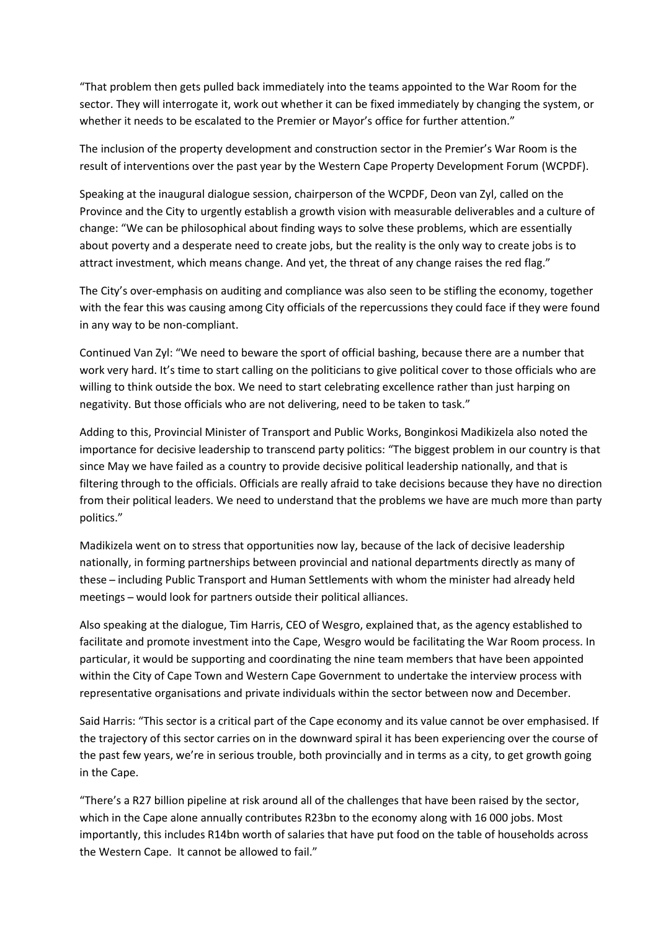"That problem then gets pulled back immediately into the teams appointed to the War Room for the sector. They will interrogate it, work out whether it can be fixed immediately by changing the system, or whether it needs to be escalated to the Premier or Mayor's office for further attention."

The inclusion of the property development and construction sector in the Premier's War Room is the result of interventions over the past year by the Western Cape Property Development Forum (WCPDF).

Speaking at the inaugural dialogue session, chairperson of the WCPDF, Deon van Zyl, called on the Province and the City to urgently establish a growth vision with measurable deliverables and a culture of change: "We can be philosophical about finding ways to solve these problems, which are essentially about poverty and a desperate need to create jobs, but the reality is the only way to create jobs is to attract investment, which means change. And yet, the threat of any change raises the red flag."

The City's over-emphasis on auditing and compliance was also seen to be stifling the economy, together with the fear this was causing among City officials of the repercussions they could face if they were found in any way to be non-compliant.

Continued Van Zyl: "We need to beware the sport of official bashing, because there are a number that work very hard. It's time to start calling on the politicians to give political cover to those officials who are willing to think outside the box. We need to start celebrating excellence rather than just harping on negativity. But those officials who are not delivering, need to be taken to task."

Adding to this, Provincial Minister of Transport and Public Works, Bonginkosi Madikizela also noted the importance for decisive leadership to transcend party politics: "The biggest problem in our country is that since May we have failed as a country to provide decisive political leadership nationally, and that is filtering through to the officials. Officials are really afraid to take decisions because they have no direction from their political leaders. We need to understand that the problems we have are much more than party politics."

Madikizela went on to stress that opportunities now lay, because of the lack of decisive leadership nationally, in forming partnerships between provincial and national departments directly as many of these - including Public Transport and Human Settlements with whom the minister had already held meetings - would look for partners outside their political alliances.

Also speaking at the dialogue, Tim Harris, CEO of Wesgro, explained that, as the agency established to facilitate and promote investment into the Cape, Wesgro would be facilitating the War Room process. In particular, it would be supporting and coordinating the nine team members that have been appointed within the City of Cape Town and Western Cape Government to undertake the interview process with representative organisations and private individuals within the sector between now and December.

Said Harris: "This sector is a critical part of the Cape economy and its value cannot be over emphasised. If the trajectory of this sector carries on in the downward spiral it has been experiencing over the course of the past few years, we're in serious trouble, both provincially and in terms as a city, to get growth going in the Cape.

"There's a R27 billion pipeline at risk around all of the challenges that have been raised by the sector, which in the Cape alone annually contributes R23bn to the economy along with 16 000 jobs. Most importantly, this includes R14bn worth of salaries that have put food on the table of households across the Western Cape. It cannot be allowed to fail."